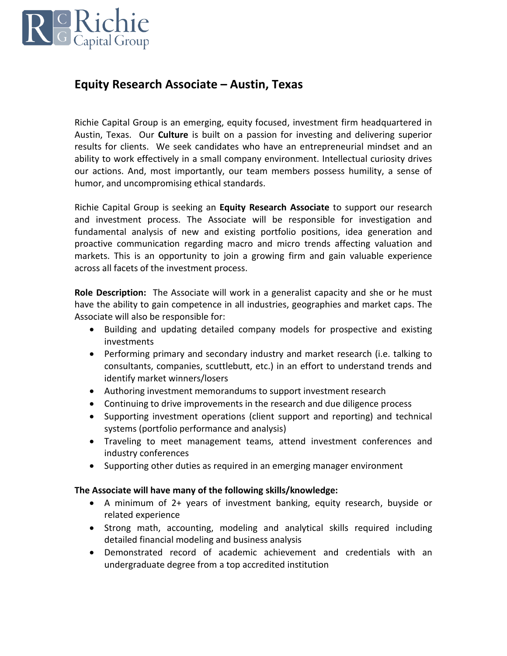

## **Equity Research Associate – Austin, Texas**

Richie Capital Group is an emerging, equity focused, investment firm headquartered in Austin, Texas. Our **Culture** is built on a passion for investing and delivering superior results for clients. We seek candidates who have an entrepreneurial mindset and an ability to work effectively in a small company environment. Intellectual curiosity drives our actions. And, most importantly, our team members possess humility, a sense of humor, and uncompromising ethical standards.

Richie Capital Group is seeking an **Equity Research Associate** to support our research and investment process. The Associate will be responsible for investigation and fundamental analysis of new and existing portfolio positions, idea generation and proactive communication regarding macro and micro trends affecting valuation and markets. This is an opportunity to join a growing firm and gain valuable experience across all facets of the investment process.

**Role Description:** The Associate will work in a generalist capacity and she or he must have the ability to gain competence in all industries, geographies and market caps. The Associate will also be responsible for:

- Building and updating detailed company models for prospective and existing investments
- Performing primary and secondary industry and market research (i.e. talking to consultants, companies, scuttlebutt, etc.) in an effort to understand trends and identify market winners/losers
- Authoring investment memorandums to support investment research
- Continuing to drive improvements in the research and due diligence process
- Supporting investment operations (client support and reporting) and technical systems (portfolio performance and analysis)
- Traveling to meet management teams, attend investment conferences and industry conferences
- Supporting other duties as required in an emerging manager environment

## **The Associate will have many of the following skills/knowledge:**

- A minimum of 2+ years of investment banking, equity research, buyside or related experience
- Strong math, accounting, modeling and analytical skills required including detailed financial modeling and business analysis
- Demonstrated record of academic achievement and credentials with an undergraduate degree from a top accredited institution